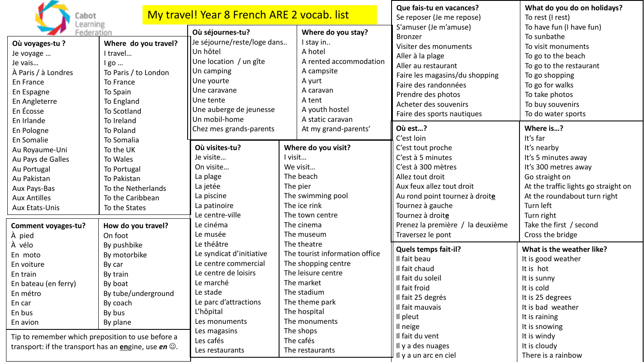| Cabot                                                                                                                                                                                                                                              |                                                                                                                                                 | My travel! Year 8 French ARE 2 vocab. list                                                                                                                                                                                                                                                                                                                           | Que fais-tu en vacances?<br>Se reposer (Je me repose) | What do you do on holidays?<br>To rest (I rest)                                                                                                                                                                         |                                                                                                                                                                                                                                                    |                                                                                                                                                                                                                                |
|----------------------------------------------------------------------------------------------------------------------------------------------------------------------------------------------------------------------------------------------------|-------------------------------------------------------------------------------------------------------------------------------------------------|----------------------------------------------------------------------------------------------------------------------------------------------------------------------------------------------------------------------------------------------------------------------------------------------------------------------------------------------------------------------|-------------------------------------------------------|-------------------------------------------------------------------------------------------------------------------------------------------------------------------------------------------------------------------------|----------------------------------------------------------------------------------------------------------------------------------------------------------------------------------------------------------------------------------------------------|--------------------------------------------------------------------------------------------------------------------------------------------------------------------------------------------------------------------------------|
| .earning<br>Federation<br>Où voyages-tu?<br>Je voyage<br>Je vais<br>À Paris / à Londres<br>En France<br>En Espagne<br>En Angleterre<br>En Écosse<br>En Irlande                                                                                     | Where do you travel?<br>I travel<br>$lgo$<br>To Paris / to London<br>To France<br>To Spain<br>To England<br>To Scotland<br>To Ireland           | Où séjournes-tu?<br>Je séjourne/reste/loge dans<br>Un hôtel<br>Une location / un gîte<br>Un camping<br>Une yourte<br>Une caravane<br>Une tente<br>Une auberge de jeunesse<br>Un mobil-home                                                                                                                                                                           |                                                       | Where do you stay?<br>I stay in<br>A hotel<br>A rented accommodation<br>A campsite<br>A yurt<br>A caravan<br>A tent<br>A youth hostel<br>A static caravan                                                               | S'amuser (Je m'amuse)<br><b>Bronzer</b><br>Visiter des monuments<br>Aller à la plage<br>Aller au restaurant<br>Faire les magasins/du shopping<br>Faire des randonnées<br>Prendre des photos<br>Acheter des souvenirs<br>Faire des sports nautiques | To have fun (I have fun)<br>To sunbathe<br>To visit monuments<br>To go to the beach<br>To go to the restaurant<br>To go shopping<br>To go for walks<br>To take photos<br>To buy souvenirs<br>To do water sports                |
| En Pologne<br>En Somalie                                                                                                                                                                                                                           | To Poland<br>To Somalia                                                                                                                         | Chez mes grands-parents                                                                                                                                                                                                                                                                                                                                              |                                                       | At my grand-parents'                                                                                                                                                                                                    | Où est?<br>C'est loin                                                                                                                                                                                                                              | Where is?<br>It's far                                                                                                                                                                                                          |
| Au Royaume-Uni<br>Au Pays de Galles<br>Au Portugal<br>Au Pakistan<br>Aux Pays-Bas<br><b>Aux Antilles</b><br>Aux Etats-Unis<br>Comment voyages-tu?<br>À pied                                                                                        | To the UK<br>To Wales<br>To Portugal<br>To Pakistan<br>To the Netherlands<br>To the Caribbean<br>To the States<br>How do you travel?<br>On foot | Où visites-tu?<br>Je visite<br>On visite<br>La plage<br>La jetée<br>La piscine<br>La patinoire<br>Le centre-ville<br>Le cinéma<br>Le musée<br>Le théâtre<br>Le syndicat d'initiative<br>Le centre commercial<br>Le centre de loisirs<br>Le marché<br>Le stade<br>Le parc d'attractions<br>L'hôpital<br>Les monuments<br>Les magasins<br>Les cafés<br>Les restaurants | I visit<br>We visit<br>The pier                       | Where do you visit?<br>The beach<br>The swimming pool<br>The ice rink<br>The town centre<br>The cinema<br>The museum                                                                                                    | C'est tout proche<br>C'est à 5 minutes<br>C'est à 300 mètres<br>Allez tout droit<br>Aux feux allez tout droit<br>Au rond point tournez à droite<br>Tournez à gauche<br>Tournez à droite<br>Prenez la première / la deuxième<br>Traversez le pont   | It's nearby<br>It's 5 minutes away<br>It's 300 metres away<br>Go straight on<br>At the traffic lights go straight on<br>At the roundabout turn right<br>Turn left<br>Turn right<br>Take the first / second<br>Cross the bridge |
| À vélo<br>En moto<br>En voiture<br>En train<br>En bateau (en ferry)<br>En métro<br>En car<br>En bus<br>En avion<br>Tip to remember which preposition to use before a<br>transport: if the transport has an <b>en</b> gine, use <i>en</i> $\odot$ . | By pushbike<br>By motorbike<br>By car<br>By train<br>By boat<br>By tube/underground<br>By coach<br>By bus<br>By plane                           |                                                                                                                                                                                                                                                                                                                                                                      |                                                       | The theatre<br>The tourist information office<br>The shopping centre<br>The leisure centre<br>The market<br>The stadium<br>The theme park<br>The hospital<br>The monuments<br>The shops<br>The cafés<br>The restaurants | <b>Quels temps fait-il?</b><br>Il fait beau<br>Il fait chaud<br>Il fait du soleil<br>Il fait froid<br>Il fait 25 degrés<br>Il fait mauvais<br>Il pleut<br>Il neige<br>Il fait du vent<br>Il y a des nuages<br>Il y a un arc en ciel                | What is the weather like?<br>It is good weather<br>It is hot<br>It is sunny<br>It is cold<br>It is 25 degrees<br>It is bad weather<br>It is raining<br>It is snowing<br>It is windy<br>It is cloudy<br>There is a rainbow      |